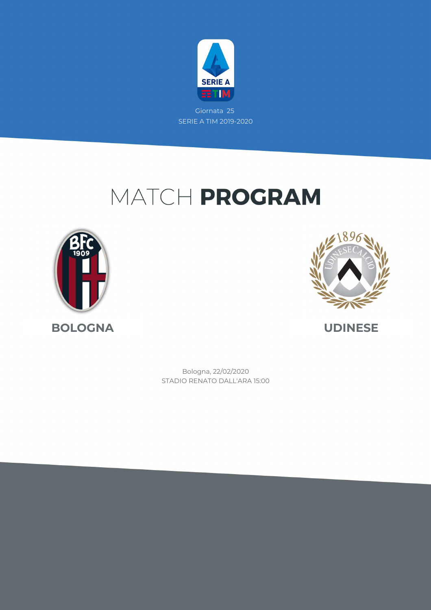

# MATCH PROGRAM





STADIO RENATO DALL'ARA 15:00 Bologna, 22/02/2020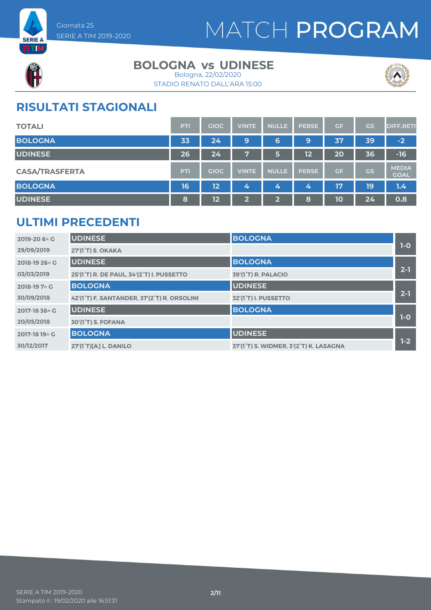



#### **BOLOGNA vs UDINESE**





### **RISULTATI STAGIONALI**

| <b>TOTALI</b>         | <b>PTI</b> | <b>GIOC</b>     | <b>VINTE</b> | <b>NULLE</b> | <b>PERSE</b> | GF        | GS | <b>DIFF.RETI</b>            |
|-----------------------|------------|-----------------|--------------|--------------|--------------|-----------|----|-----------------------------|
| <b>BOLOGNA</b>        | 33         | 24              | 9            | 6            | 9            | 37        | 39 | $-2$                        |
| <b>UDINESE</b>        | 26         | 24 <sup>1</sup> | 7            | 5            | 12           | 20        | 36 | $-16$                       |
| <b>CASA/TRASFERTA</b> | <b>PTI</b> | <b>GIOC</b>     | <b>VINTE</b> | <b>NULLE</b> | <b>PERSE</b> | <b>GF</b> | GS | <b>MEDIA</b><br><b>GOAL</b> |
| <b>BOLOGNA</b>        | 16         | 12              | 4            | 4            | 4            | 17        | 19 | 1.4                         |
| <b>UDINESE</b>        | 8          | 12              | $\mathbf{2}$ | $\mathbf{2}$ | 8            | 10        | 24 | 0.8                         |

#### **ULTIMI PRECEDENTI**

| 2019-20 6 \ C  | <b>UDINESE</b>                              | <b>BOLOGNA</b>                         |         |
|----------------|---------------------------------------------|----------------------------------------|---------|
| 29/09/2019     | 27'(1 <sup>°</sup> T) S. OKAKA              |                                        | $1-0$   |
| 2018-19 26 \ G | <b>UDINESE</b>                              | <b>BOLOGNA</b>                         |         |
| 03/03/2019     | 25'(1°T) R. DE PAUL, 34'(2°T) I. PUSSETTO   | 39'(1 <sup>°</sup> T) R. PALACIO       | $2 - 1$ |
| 2018-19 7 \ G  | <b>BOLOGNA</b>                              | <b>UDINESE</b>                         |         |
| 30/09/2018     | 42'(1°T) F. SANTANDER, 37'(2°T) R. ORSOLINI | 32'(1°T) I. PUSSETTO                   | $2 - 1$ |
| 2017-18 38 A G | <b>UDINESE</b>                              | <b>BOLOGNA</b>                         |         |
| 20/05/2018     | 30'(1 <sup>°</sup> T) S. FOFANA             |                                        | $1-0$   |
| 2017-18 19 A G | <b>BOLOGNA</b>                              | <b>UDINESE</b>                         |         |
| 30/12/2017     | 27'(1°T)[A] L. DANILO                       | 37'(1°T) S. WIDMER, 3'(2°T) K. LASAGNA | $1-2$   |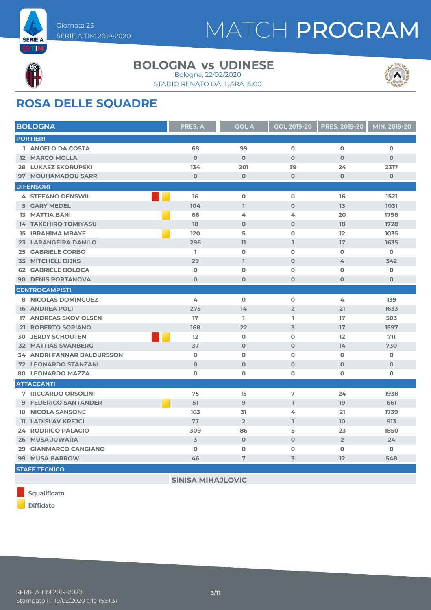



**ETIM** 

#### **BOLOGNA vs UDINESE**





### **ROSA DELLE SQUADRE**

| <b>BOLOGNA</b>                    | <b>PRES. A</b> | <b>GOL A</b>   | <b>GOL 2019-20</b> | <b>PRES. 2019-20</b> | MIN. 2019-20 |
|-----------------------------------|----------------|----------------|--------------------|----------------------|--------------|
| <b>PORTIERI</b>                   |                |                |                    |                      |              |
| 1 ANGELO DA COSTA                 | 68             | 99             | $\mathbf 0$        | $\mathbf 0$          | $\mathbf 0$  |
| <b>12 MARCO MOLLA</b>             | $\Omega$       | $\Omega$       | $\Omega$           | $\mathbf 0$          | $\mathbf{O}$ |
| <b>28 LUKASZ SKORUPSKI</b>        | 134            | 201            | 39                 | 24                   | 2317         |
| 97 MOUHAMADOU SARR                | $\mathbf 0$    | $\mathbf 0$    | $\mathbf 0$        | $\mathbf 0$          | $\mathbf 0$  |
| <b>DIFENSORI</b>                  |                |                |                    |                      |              |
| <b>4 STEFANO DENSWIL</b>          | 16             | $\mathbf 0$    | $\mathbf 0$        | 16                   | 1521         |
| <b>5 GARY MEDEL</b>               | 104            | $\mathbf{I}$   | $\Omega$           | 13                   | 1031         |
| <b>13 MATTIA BANI</b>             | 66             | 4              | 4                  | 20                   | 1798         |
| <b>14 TAKEHIRO TOMIYASU</b>       | 18             | $\mathbf 0$    | $\Omega$           | 18                   | 1728         |
| <b>15 IBRAHIMA MBAYE</b>          | 120            | 5              | $\mathbf 0$        | 12                   | 1035         |
| 23 LARANGEIRA DANILO              | 296            | 11             | $\mathbf{I}$       | 17                   | 1635         |
| <b>25 GABRIELE CORBO</b>          | L              | $\mathbf 0$    | $\mathbf 0$        | $\mathbf 0$          | $\mathbf 0$  |
| <b>35 MITCHELL DIJKS</b>          | 29             | $\mathbf{I}$   | $\mathbf 0$        | 4                    | 342          |
| <b>62 GABRIELE BOLOCA</b>         | $\mathbf 0$    | $\mathbf 0$    | $\mathbf 0$        | $\mathbf 0$          | 0            |
| <b>90 DENIS PORTANOVA</b>         | $\Omega$       | $\mathbf 0$    | $\mathbf 0$        | $\mathbf{O}$         | $\mathbf{O}$ |
| <b>CENTROCAMPISTI</b>             |                |                |                    |                      |              |
| <b>8 NICOLAS DOMINGUEZ</b>        | 4              | $\mathbf 0$    | $\mathbf 0$        | 4                    | 139          |
| <b>16 ANDREA POLI</b>             | 275            | 14             | $\overline{2}$     | 21                   | 1633         |
| <b>17 ANDREAS SKOV OLSEN</b>      | 17             | L.             | L                  | 17                   | 503          |
| 21 ROBERTO SORIANO                | 168            | 22             | $\overline{3}$     | 17                   | 1597         |
| <b>30 JERDY SCHOUTEN</b>          | 12             | $\mathbf 0$    | $\mathbf 0$        | 12                   | 711          |
| <b>32 MATTIAS SVANBERG</b>        | 37             | $\Omega$       | $\Omega$           | 14                   | 730          |
| <b>34 ANDRI FANNAR BALDURSSON</b> | $\mathbf 0$    | $\mathbf 0$    | $\mathbf 0$        | $\mathbf 0$          | 0            |
| <b>72 LEONARDO STANZANI</b>       | $\mathbf 0$    | $\mathbf 0$    | $\mathbf 0$        | $\mathbf 0$          | $\mathbf 0$  |
| <b>80 LEONARDO MAZZA</b>          | $\mathbf 0$    | $\mathbf 0$    | $\mathbf 0$        | $\mathbf 0$          | 0            |
| <b>ATTACCANTI</b>                 |                |                |                    |                      |              |
| <b>7 RICCARDO ORSOLINI</b>        | 75             | 15             | 7                  | 24                   | 1938         |
| <b>9 FEDERICO SANTANDER</b>       | 51             | 9              | $\mathbb{I}$       | 19                   | 661          |
| <b>10 NICOLA SANSONE</b>          | 163            | 31             | 4                  | 21                   | 1739         |
| <b>11 LADISLAV KREJCI</b>         | 77             | $\overline{2}$ | $\mathbb{I}$       | 10 <sup>°</sup>      | 913          |
| <b>24 RODRIGO PALACIO</b>         | 309            | 86             | 5                  | 23                   | 1850         |
| 26 MUSA JUWARA                    | $\overline{3}$ | $\mathbf 0$    | $\mathbf 0$        | $\overline{2}$       | 24           |
| 29 GIANMARCO CANGIANO             | $\mathbf o$    | $\mathbf 0$    | $\mathbf{o}$       | $\mathbf 0$          | 0            |
| <b>99 MUSA BARROW</b>             | 46             | $\overline{7}$ | 3                  | 12                   | 548          |
| <b>STAFF TECNICO</b>              |                |                |                    |                      |              |

**SINISA MIHAJLOVIC**

**Squalificato**

**Diffidato**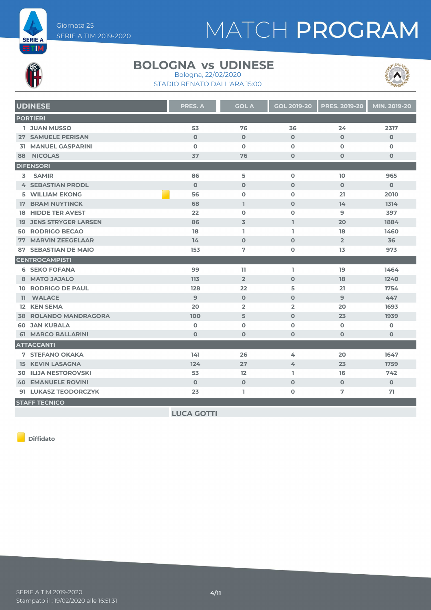

# MATCH PROGRAM



#### **BOLOGNA vs UDINESE** Bologna, 22/02/2020

STADIO RENATO DALL'ARA 15:00



|    | <b>UDINESE</b>                | <b>PRES. A</b> | <b>GOL A</b>   | <b>GOL 2019-20</b> | PRES. 2019-20  | MIN. 2019-20 |
|----|-------------------------------|----------------|----------------|--------------------|----------------|--------------|
|    | <b>PORTIERI</b>               |                |                |                    |                |              |
|    | <b>1 JUAN MUSSO</b>           | 53             | 76             | 36                 | 24             | 2317         |
|    | <b>27 SAMUELE PERISAN</b>     | $\mathbf{O}$   | $\mathbf 0$    | $\Omega$           | $\Omega$       | $\Omega$     |
|    | <b>31 MANUEL GASPARINI</b>    | $\mathbf 0$    | $\mathbf 0$    | $\Omega$           | $\Omega$       | $\mathbf{O}$ |
| 88 | <b>NICOLAS</b>                | 37             | 76             | $\mathbf 0$        | $\mathbf 0$    | $\mathbf 0$  |
|    | <b>DIFENSORI</b>              |                |                |                    |                |              |
| 3  | <b>SAMIR</b>                  | 86             | 5              | $\mathbf 0$        | 10             | 965          |
|    | <b>4 SEBASTIAN PRODL</b>      | $\Omega$       | $\mathbf 0$    | $\mathbf 0$        | $\mathbf 0$    | $\Omega$     |
|    | <b>5 WILLIAM EKONG</b>        | 56             | $\mathbf 0$    | $\mathbf 0$        | 21             | 2010         |
|    | <b>17 BRAM NUYTINCK</b>       | 68             | I.             | $\mathbf 0$        | 14             | 1314         |
|    | <b>18 HIDDE TER AVEST</b>     | 22             | $\Omega$       | $\Omega$           | $\mathbf{9}$   | 397          |
|    | <b>19 JENS STRYGER LARSEN</b> | 86             | $\overline{3}$ | $\mathbf{L}$       | 20             | 1884         |
|    | <b>50 RODRIGO BECAO</b>       | 18             | T.             | T.                 | 18             | 1460         |
|    | <b>77 MARVIN ZEEGELAAR</b>    | 14             | $\mathbf 0$    | $\mathbf 0$        | $\overline{2}$ | 36           |
|    | <b>87 SEBASTIAN DE MAIO</b>   | 153            | 7              | $\mathbf 0$        | 13             | 973          |
|    | <b>CENTROCAMPISTI</b>         |                |                |                    |                |              |
|    | <b>6 SEKO FOFANA</b>          | 99             | 11             | L                  | 19             | 1464         |
|    | 8 MATO JAJALO                 | 113            | $\overline{2}$ | $\mathbf 0$        | 18             | 1240         |
|    | <b>10 RODRIGO DE PAUL</b>     | 128            | 22             | 5                  | 21             | 1754         |
|    | 11 WALACE                     | $\overline{9}$ | $\mathbf 0$    | $\mathbf 0$        | 9              | 447          |
|    | <b>12 KEN SEMA</b>            | 20             | $\overline{2}$ | $\overline{2}$     | 20             | 1693         |
|    | <b>38 ROLANDO MANDRAGORA</b>  | 100            | 5              | $\mathbf 0$        | 23             | 1939         |
|    | <b>60 JAN KUBALA</b>          | $\mathbf 0$    | $\mathbf 0$    | $\mathbf 0$        | $\mathbf 0$    | $\mathbf 0$  |
|    | <b>61 MARCO BALLARINI</b>     | $\mathbf{O}$   | $\mathbf 0$    | $\mathbf 0$        | $\mathbf 0$    | $\mathbf 0$  |
|    | <b>ATTACCANTI</b>             |                |                |                    |                |              |
|    | <b>7 STEFANO OKAKA</b>        | 141            | 26             | 4                  | 20             | 1647         |
|    | <b>15 KEVIN LASAGNA</b>       | 124            | 27             | 4                  | 23             | 1759         |
|    | <b>30 ILIJA NESTOROVSKI</b>   | 53             | 12             | L                  | 16             | 742          |
|    | <b>40 EMANUELE ROVINI</b>     | $\mathbf{O}$   | $\mathbf 0$    | $\mathbf 0$        | $\mathbf 0$    | $\mathbf{O}$ |
|    | 91 LUKASZ TEODORCZYK          | 23             | T.             | $\mathbf 0$        | 7              | 71           |
|    | <b>STAFF TECNICO</b>          |                |                |                    |                |              |
|    |                               |                |                |                    |                |              |

**LUCA GOTTI**

**Diffidato**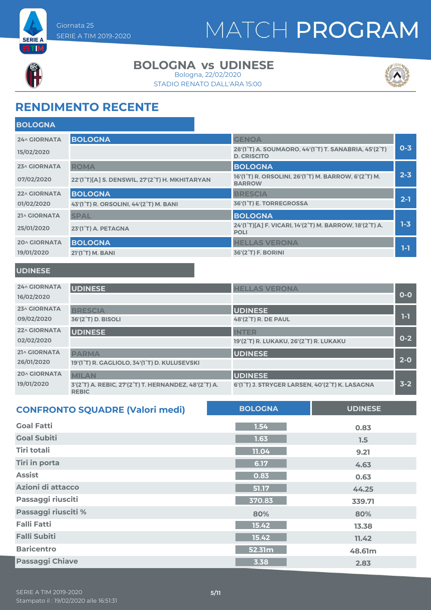



#### **BOLOGNA vs UDINESE**

STADIO RENATO DALL'ARA 15:00 Bologna, 22/02/2020



### **RENDIMENTO RECENTE**

| <b>BOLOGNA</b>      |                                                |                                                                                                                   |         |
|---------------------|------------------------------------------------|-------------------------------------------------------------------------------------------------------------------|---------|
| 24^ GIORNATA        | <b>BOLOGNA</b>                                 | <b>GENOA</b>                                                                                                      |         |
| 15/02/2020          |                                                | 28'(1 <sup>°</sup> T) A. SOUMAORO, 44'(1 <sup>°</sup> T) T. SANABRIA, 45'(2 <sup>°</sup> T)<br><b>D. CRISCITO</b> | $0 - 3$ |
| 23^ GIORNATA        | <b>ROMA</b>                                    | <b>BOLOGNA</b>                                                                                                    |         |
| 07/02/2020          | 22'(1°T)[A] S. DENSWIL, 27'(2°T) H. MKHITARYAN | 16'(1°T) R. ORSOLINI, 26'(1°T) M. BARROW, 6'(2°T) M.<br><b>BARROW</b>                                             | $2 - 3$ |
| 22^ GIORNATA        | <b>BOLOGNA</b>                                 | <b>BRESCIA</b>                                                                                                    |         |
| 01/02/2020          | 43'(1°T) R. ORSOLINI, 44'(2°T) M. BANI         | 36'(1 <sup>°</sup> T) E. TORREGROSSA                                                                              | $2 - 1$ |
| 21^ GIORNATA        | <b>SPAL</b>                                    | <b>BOLOGNA</b>                                                                                                    |         |
| 25/01/2020          | 23'(1°T) A. PETAGNA                            | 24'(1°T)[A] F. VICARI, 14'(2°T) M. BARROW, 18'(2°T) A.<br><b>POLI</b>                                             | $1 - 3$ |
| <b>20^ GIORNATA</b> | <b>BOLOGNA</b>                                 | <b>HELLAS VERONA</b>                                                                                              |         |
| 19/01/2020          | 21'(1 <sup>°</sup> T) M. BANI                  | 36'(2 <sup>°</sup> T) F. BORINI                                                                                   | 1-1     |
|                     |                                                |                                                                                                                   |         |

#### **UDINESE**

| <b>24^ GIORNATA</b> | <b>UDINESE</b>                                                       | <b>HELLAS VERONA</b>                           |         |
|---------------------|----------------------------------------------------------------------|------------------------------------------------|---------|
| 16/02/2020          |                                                                      |                                                | $O-O$   |
| 23^ GIORNATA        | <b>BRESCIA</b>                                                       | <b>UDINESE</b>                                 |         |
| 09/02/2020          | 36'(2 <sup>°</sup> T) D. BISOLI                                      | 48'(2°T) R. DE PAUL                            | 1-1     |
| 22^ GIORNATA        | <b>UDINESE</b>                                                       | <b>INTER</b>                                   |         |
| 02/02/2020          |                                                                      | 19'(2°T) R. LUKAKU, 26'(2°T) R. LUKAKU         | $0 - 2$ |
| 21^ GIORNATA        | <b>PARMA</b>                                                         | <b>UDINESE</b>                                 |         |
| 26/01/2020          | 19'(1°T) R. GAGLIOLO, 34'(1°T) D. KULUSEVSKI                         |                                                | $2 - 0$ |
| <b>20^ GIORNATA</b> | <b>MILAN</b>                                                         | <b>UDINESE</b>                                 |         |
| 19/01/2020          | 3'(2°T) A. REBIC, 27'(2°T) T. HERNANDEZ, 48'(2°T) A.<br><b>REBIC</b> | 6'(1°T) J. STRYGER LARSEN, 40'(2°T) K. LASAGNA | $3 - 2$ |

| <b>CONFRONTO SQUADRE (Valori medi)</b> | <b>BOLOGNA</b> | <b>UDINESE</b> |
|----------------------------------------|----------------|----------------|
| <b>Goal Fatti</b>                      | 1.54           | 0.83           |
| <b>Goal Subiti</b>                     | 1.63           | 1.5            |
| <b>Tiri totali</b>                     | 11.04          | 9.21           |
| <b>Tiri in porta</b>                   | 6.17           | 4.63           |
| <b>Assist</b>                          | 0.83           | 0.63           |
| Azioni di attacco                      | 51.17          | 44.25          |
| Passaggi riusciti                      | 370.83         | 339.71         |
| Passaggi riusciti %                    | 80%            | 80%            |
| <b>Falli Fatti</b>                     | 15.42          | 13.38          |
| <b>Falli Subiti</b>                    | 15.42          | 11.42          |
| <b>Baricentro</b>                      | 52.31m         | 48.61m         |
| <b>Passaggi Chiave</b>                 | 3.38           | 2.83           |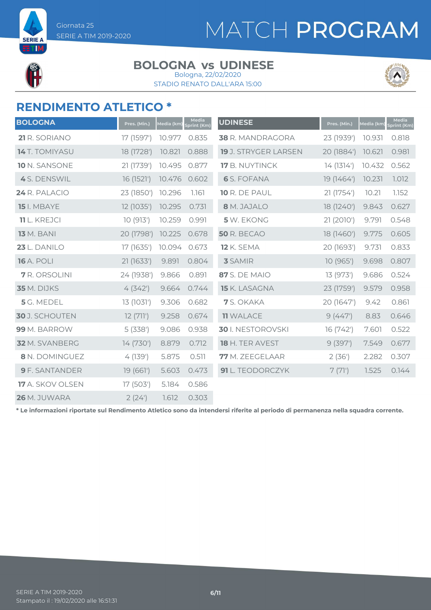



**SERIE A** ETM

#### **BOLOGNA vs UDINESE** Bologna, 22/02/2020

STADIO RENATO DALL'ARA 15:00



#### **RENDIMENTO ATLETICO \***

| <b>BOLOGNA</b>        | Pres. (Min.) | Media (km) | Media<br>print (Km) | <b>UDINESE</b>       | Pres. (Min.) | Media (km) | <b>Media</b><br>print (Km) |
|-----------------------|--------------|------------|---------------------|----------------------|--------------|------------|----------------------------|
| 21 R. SORIANO         | 17 (1597')   | 10.977     | 0.835               | 38 R. MANDRAGORA     | 23 (1939')   | 10.931     | 0.818                      |
| <b>14</b> T. TOMIYASU | 18 (1728')   | 10.821     | 0.888               | 19 J. STRYGER LARSEN | 20 (1884')   | 10.621     | 0.981                      |
| 10 N. SANSONE         | 21 (1739')   | 10.495     | 0.877               | 17 B. NUYTINCK       | 14 (1314')   | 10.432     | 0.562                      |
| 4 S. DENSWIL          | 16 (1521')   | 10.476     | 0.602               | <b>6</b> S. FOFANA   | 19 (1464')   | 10.231     | 1.012                      |
| 24 R. PALACIO         | 23 (1850')   | 10.296     | 1.161               | 10 R. DE PAUL        | 21 (1754')   | 10.21      | 1.152                      |
| <b>15</b> I. MBAYE    | 12 (1035')   | 10.295     | 0.731               | 8 M. JAJALO          | 18 (1240')   | 9.843      | 0.627                      |
| <b>11</b> L. KREJCI   | 10(913)      | 10.259     | 0.991               | 5 W. EKONG           | 21 (2010')   | 9.791      | 0.548                      |
| <b>13</b> M. BANI     | 20 (1798')   | 10.225     | 0.678               | <b>50 R. BECAO</b>   | 18 (1460')   | 9.775      | 0.605                      |
| 23 L. DANILO          | 17 (1635')   | 10.094     | 0.673               | <b>12 K. SEMA</b>    | 20 (1693')   | 9.731      | 0.833                      |
| <b>16</b> A. POLI     | 21 (1633')   | 9.891      | 0.804               | <b>3</b> SAMIR       | 10(965)      | 9.698      | 0.807                      |
| 7 R. ORSOLINI         | 24 (1938')   | 9.866      | 0.891               | <b>87</b> S. DE MAIO | 13 (973')    | 9.686      | 0.524                      |
| 35 M. DIJKS           | 4(342)       | 9.664      | 0.744               | 15 K. LASAGNA        | 23 (1759')   | 9.579      | 0.958                      |
| 5 G. MEDEL            | 13 (1031')   | 9.306      | 0.682               | 7 S. OKAKA           | 20 (1647')   | 9.42       | 0.861                      |
| <b>30</b> J. SCHOUTEN | 12(711)      | 9.258      | 0.674               | <b>11 WALACE</b>     | 9(447)       | 8.83       | 0.646                      |
| 99 M. BARROW          | 5(338)       | 9.086      | 0.938               | 30 I. NESTOROVSKI    | 16 (742')    | 7.601      | 0.522                      |
| 32 M. SVANBERG        | 14 (730')    | 8.879      | 0.712               | 18 H. TER AVEST      | 9(397)       | 7.549      | 0.677                      |
| 8 N. DOMINGUEZ        | 4(139)       | 5.875      | 0.511               | 77 M. ZEEGELAAR      | 2(36)        | 2.282      | 0.307                      |
| <b>9</b> F. SANTANDER | 19(661)      | 5.603      | 0.473               | 91 L. TEODORCZYK     | 7(71)        | 1.525      | 0.144                      |
| 17 A. SKOV OLSEN      | 17 (503')    | 5.184      | 0.586               |                      |              |            |                            |
| 26 M. JUWARA          | 2(24)        | 1.612      | 0.303               |                      |              |            |                            |

**\* Le informazioni riportate sul Rendimento Atletico sono da intendersi riferite al periodo di permanenza nella squadra corrente.**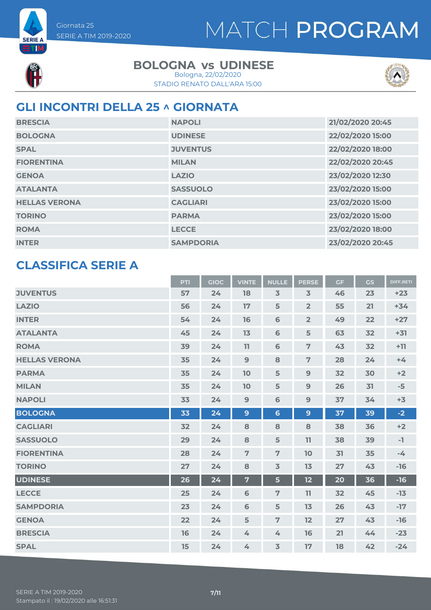



**SERIE A BTIM** 

#### **BOLOGNA vs UDINESE**

STADIO RENATO DALL'ARA 15:00 Bologna, 22/02/2020



#### **GLI INCONTRI DELLA 25 ^ GIORNATA**

| <b>BRESCIA</b>       | <b>NAPOLI</b>    | 21/02/2020 20:45 |
|----------------------|------------------|------------------|
| <b>BOLOGNA</b>       | <b>UDINESE</b>   | 22/02/2020 15:00 |
| <b>SPAL</b>          | <b>JUVENTUS</b>  | 22/02/2020 18:00 |
| <b>FIORENTINA</b>    | <b>MILAN</b>     | 22/02/2020 20:45 |
| <b>GENOA</b>         | <b>LAZIO</b>     | 23/02/2020 12:30 |
| <b>ATALANTA</b>      | <b>SASSUOLO</b>  | 23/02/2020 15:00 |
| <b>HELLAS VERONA</b> | <b>CAGLIARI</b>  | 23/02/2020 15:00 |
| <b>TORINO</b>        | <b>PARMA</b>     | 23/02/2020 15:00 |
| <b>ROMA</b>          | <b>LECCE</b>     | 23/02/2020 18:00 |
| <b>INTER</b>         | <b>SAMPDORIA</b> | 23/02/2020 20:45 |

#### **CLASSIFICA SERIE A**

|                      | PTI | <b>GIOC</b> | <b>VINTE</b>            | <b>NULLE</b>    | <b>PERSE</b>   | <b>GF</b> | GS | <b>DIFF.RETI</b> |
|----------------------|-----|-------------|-------------------------|-----------------|----------------|-----------|----|------------------|
| <b>JUVENTUS</b>      | 57  | 24          | 18                      | $\overline{3}$  | $\overline{3}$ | 46        | 23 | $+23$            |
| <b>LAZIO</b>         | 56  | 24          | 17                      | 5               | $\overline{2}$ | 55        | 21 | $+34$            |
| <b>INTER</b>         | 54  | 24          | 16                      | 6               | $\overline{2}$ | 49        | 22 | $+27$            |
| <b>ATALANTA</b>      | 45  | 24          | 13                      | 6               | 5              | 63        | 32 | $+31$            |
| <b>ROMA</b>          | 39  | 24          | 11                      | $6\phantom{1}6$ | $\overline{7}$ | 43        | 32 | $+11$            |
| <b>HELLAS VERONA</b> | 35  | 24          | $\overline{9}$          | 8               | $\overline{7}$ | 28        | 24 | $+4$             |
| <b>PARMA</b>         | 35  | 24          | 10                      | 5               | 9              | 32        | 30 | $+2$             |
| <b>MILAN</b>         | 35  | 24          | 10                      | 5               | 9              | 26        | 31 | $-5$             |
| <b>NAPOLI</b>        | 33  | 24          | 9                       | 6               | 9              | 37        | 34 | $+3$             |
| <b>BOLOGNA</b>       | 33  | 24          | $\mathbf{9}$            | $6\phantom{a}$  | $\mathbf{9}$   | 37        | 39 | $-2$             |
| <b>CAGLIARI</b>      | 32  | 24          | 8                       | 8               | 8              | 38        | 36 | $+2$             |
| <b>SASSUOLO</b>      | 29  | 24          | 8                       | 5               | 11             | 38        | 39 | $-1$             |
| <b>FIORENTINA</b>    | 28  | 24          | $\overline{7}$          | $\overline{7}$  | 10             | 31        | 35 | $-4$             |
| <b>TORINO</b>        | 27  | 24          | 8                       | $\overline{3}$  | 13             | 27        | 43 | $-16$            |
| <b>UDINESE</b>       | 26  | 24          | $\overline{\mathbf{7}}$ | 5               | 12             | 20        | 36 | $-16$            |
| <b>LECCE</b>         | 25  | 24          | 6                       | $\overline{7}$  | 11             | 32        | 45 | $-13$            |
| <b>SAMPDORIA</b>     | 23  | 24          | 6                       | 5               | 13             | 26        | 43 | $-17$            |
| <b>GENOA</b>         | 22  | 24          | 5                       | $\overline{7}$  | 12             | 27        | 43 | $-16$            |
| <b>BRESCIA</b>       | 16  | 24          | 4                       | 4               | 16             | 21        | 44 | $-23$            |
| <b>SPAL</b>          | 15  | 24          | 4                       | $\overline{3}$  | 17             | 18        | 42 | $-24$            |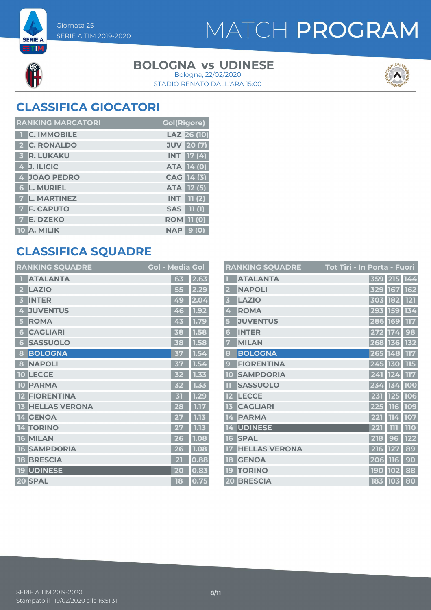



**SERIE A ETM** 

#### **BOLOGNA vs UDINESE**

STADIO RENATO DALL'ARA 15:00 Bologna, 22/02/2020



### **CLASSIFICA GIOCATORI**

| <b>RANKING MARCATORI</b> | <b>Gol(Rigore)</b> |
|--------------------------|--------------------|
| <b>T C. IMMOBILE</b>     | LAZ 26 (10)        |
| 2 C. RONALDO             | <b>JUV</b> 20 (7)  |
| 3 R. LUKAKU              | <b>INT</b> 17 (4)  |
| 4 J. ILICIC              | <b>ATA 14 (0)</b>  |
| 4 JOAO PEDRO             | CAG 14 (3)         |
| <b>6 L. MURIEL</b>       | ATA 12 (5)         |
| 7 L. MARTINEZ            | $INT$ 11 (2)       |
| <b>7 F. CAPUTO</b>       | <b>SAS</b> 11 (1)  |
| 7 E. DZEKO               | <b>ROM</b> 11 (0)  |
| 10 A. MILIK              | <b>NAP 9 (0)</b>   |

#### **CLASSIFICA SQUADRE**

| <b>RANKING SQUADRE</b>     | <b>Gol - Media Gol</b> |          |
|----------------------------|------------------------|----------|
| <b>ATALANTA</b>            | 63                     | 2.63     |
| <b>LAZIO</b><br>2          | 55                     | 2.29     |
| <b>INTER</b><br>B          | 49                     | 2.0<br>4 |
| <b>JUVENTUS</b><br>4       | 46                     | 1.92     |
| <b>ROMA</b><br>5           | 43                     | 1.79     |
| <b>CAGLIARI</b><br>6       | 38                     | 1.58     |
| <b>SASSUOLO</b><br>6       | 38                     | 1.58     |
| <b>BOLOGNA</b><br>8        | 37                     | 1.54     |
| <b>NAPOLI</b><br>8         | 37                     | 1.54     |
| <b>LECCE</b><br>10         | 32                     | 1.33     |
| <b>PARMA</b><br>10         | 32                     | 1.33     |
| <b>FIORENTINA</b>          | 才                      | 1.29     |
| <b>HELLAS VERONA</b><br>13 | 28                     | 1.17     |
| 14 GENOA                   | 27                     | 1.13     |
| <b>TORINO</b><br>4         |                        | 1.13     |
| <b>MILAN</b><br>16         | 26                     | 1.08     |
| <b>SAMPDORIA</b><br>16     | 26                     | 1.08     |
| <b>BRESCIA</b><br>18       | 21                     | 0.88     |
| <b>UDINESE</b><br>19       | 20                     | 0.83     |
| 20 SPAL                    | 18                     | 0.75     |

|                         | <b>RANKING SQUADRE</b> | Tot Tiri - In Porta - Fuori |            |             |            |
|-------------------------|------------------------|-----------------------------|------------|-------------|------------|
|                         | <b>ATALANTA</b>        |                             |            | 359 215 144 |            |
| $\overline{\mathbf{2}}$ | <b>NAPOLI</b>          |                             |            | 329 167     | 162        |
| $\overline{\mathbf{3}}$ | <b>LAZIO</b>           |                             |            | 303 182     | <b>121</b> |
| 4                       | <b>ROMA</b>            |                             |            | 293 159     | 134        |
| 5                       | <b>JUVENTUS</b>        |                             |            | 286 169     | 117        |
| 6                       | <b>INTER</b>           |                             |            | 272 174     | 98         |
| 7                       | <b>MILAN</b>           |                             |            | 268 136     | 132        |
| 8                       | <b>BOLOGNA</b>         |                             |            | 265 148     | 117        |
| 9                       | <b>FIORENTINA</b>      |                             |            | 245 130     | 115        |
| <b>10</b>               | <b>SAMPDORIA</b>       |                             | 241        | 124         | 117        |
| 11                      | <b>SASSUOLO</b>        |                             | 234        | 134         | 100        |
| 12                      | <b>LECCE</b>           |                             |            | 231 125     | 106        |
| 13                      | <b>CAGLIARI</b>        |                             |            | 225 116     | 109        |
| 14                      | <b>PARMA</b>           |                             |            | 221 114     | 107        |
| 14                      | <b>UDINESE</b>         |                             | 221        | 111         | 110        |
| 16                      | <b>SPAL</b>            |                             | 218        | 96          | 122        |
| 17                      | <b>HELLAS VERONA</b>   |                             | 216        | <b>127</b>  | 89         |
| 18                      | <b>GENOA</b>           |                             | 206        | <b>116</b>  | 90         |
| 19                      | <b>TORINO</b>          |                             | <b>190</b> | 102         | 88         |
| 20                      | <b>BRESCIA</b>         |                             |            | 183 103     | 80         |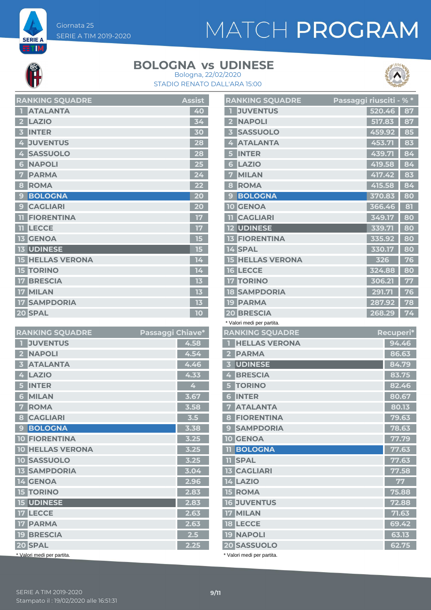# MATCH PROGRAM



**SERIE A** ETM

#### **BOLOGNA vs UDINESE**





| <b>RANKING SQUADRE</b>                  | <b>Assist</b> |
|-----------------------------------------|---------------|
| <b>ATALANTA</b><br>0                    | 40            |
| <b>LAZIO</b><br>$\overline{\mathbf{2}}$ | 34            |
| <b>INTER</b><br>3                       | 30            |
| <b>JUVENTUS</b><br>4                    | 28            |
| <b>SASSUOLO</b><br>4                    | 28            |
| <b>NAPOLI</b><br>6                      | 25            |
| <b>PARMA</b><br>7                       | 24            |
| <b>ROMA</b><br>8                        | 22            |
| <b>BOLOGNA</b><br>9                     | 20            |
| <b>CAGLIARI</b><br>9                    | 20            |
| <b>FIORENTINA</b><br>11                 | 17            |
| <b>LECCE</b><br>m                       | 17            |
| <b>GENOA</b><br>13                      | 15            |
| <b>13 UDINESE</b>                       | 15            |
| <b>15 HELLAS VERONA</b>                 | 14            |
| <b>15 TORINO</b>                        | 14            |
| <b>BRESCIA</b><br>17                    | 13            |
| <b>MILAN</b><br>17 <sup>1</sup>         | 13            |
| <b>17 SAMPDORIA</b>                     | 13            |
| 20 SPAL                                 | 10            |

| <b>RANKING SQUADRE</b>     | Passaggi Chiave* |      |
|----------------------------|------------------|------|
| <b>JUVENTUS</b>            |                  | 4.58 |
| <b>NAPOLI</b><br>2         |                  | 4.54 |
| <b>ATALANTA</b><br>3       |                  | 4.46 |
| <b>LAZIO</b><br>4          |                  | 4.33 |
| <b>INTER</b>               |                  | 4    |
| <b>MILAN</b><br>6          |                  | 3.67 |
| <b>ROMA</b><br>7           |                  | 3.58 |
| <b>CAGLIARI</b><br>8       |                  | 3.5  |
| <b>BOLOGNA</b><br>9        |                  | 3.38 |
| <b>10 FIORENTINA</b>       |                  | 3.25 |
| <b>10 HELLAS VERONA</b>    |                  | 3.25 |
| <b>10 SASSUOLO</b>         |                  | 3.25 |
| <b>13 SAMPDORIA</b>        |                  | 3.04 |
| 14 GENOA                   |                  | 2.96 |
| <b>15 TORINO</b>           |                  | 2.83 |
| <b>15 UDINESE</b>          |                  | 2.83 |
| 17 LECCE                   |                  | 2.63 |
| <b>17 PARMA</b>            |                  | 2.63 |
| <b>19 BRESCIA</b>          |                  | 2.5  |
| 20 SPAL                    |                  | 2.25 |
| * Valori medi per partita. |                  |      |

|                         | <b>RANKING SQUADRE</b>          | Passaggi riusciti - % * |        |                |
|-------------------------|---------------------------------|-------------------------|--------|----------------|
| п                       | <b>JUVENTUS</b>                 |                         | 520.46 | 87             |
|                         | 2 NAPOLI                        |                         | 517.83 | 87             |
| $\overline{\mathbf{3}}$ | <b>SASSUOLO</b>                 |                         | 459.92 | 85             |
|                         | <b>4 ATALANTA</b>               |                         | 453.71 | 83             |
| 5                       | <b>INTER</b>                    |                         | 439.71 | 84             |
| 6 <sup>1</sup>          | <b>LAZIO</b>                    |                         | 419.58 | 84             |
| 7                       | <b>MILAN</b>                    |                         | 417.42 | 83             |
| 8                       | <b>ROMA</b>                     |                         | 415.58 | 84             |
|                         | <b>9 BOLOGNA</b>                |                         | 370.83 | 80             |
|                         | <b>10 GENOA</b>                 |                         | 366.46 | 81             |
|                         | <b>TI CAGLIARI</b>              |                         | 349.17 | 80             |
|                         | <b>12 UDINESE</b>               |                         | 339.71 | 80             |
|                         | <b>13 FIORENTINA</b>            |                         | 335.92 | 80             |
|                         | 14 SPAL                         |                         | 330.17 | 80             |
|                         | <b>15 HELLAS VERONA</b>         |                         | 326    | 76             |
|                         | <b>16 LECCE</b>                 |                         | 324.88 | 80             |
|                         | <b>17 TORINO</b>                |                         | 306.21 | 77             |
|                         | <b>18 SAMPDORIA</b>             |                         | 291.71 | 76             |
|                         | <b>19 PARMA</b>                 |                         | 287.92 | 78             |
|                         | <b>20 BRESCIA</b>               |                         | 268.29 | 74             |
|                         | * Valori medi per partita.      |                         |        |                |
|                         |                                 |                         |        |                |
|                         | <b>RANKING SQUADRE</b>          |                         |        | Recuperi*      |
| П                       | <b>HELLAS VERONA</b>            |                         |        | 94.46          |
|                         | 2 PARMA                         |                         |        | 86.63          |
|                         | <b>3 UDINESE</b>                |                         |        | 84.79          |
|                         | 4 BRESCIA                       |                         |        | 83.75          |
|                         | <b>5 TORINO</b>                 |                         |        | 82.46          |
|                         | <b>6 INTER</b>                  |                         |        | 80.67          |
|                         | <b>7 ATALANTA</b>               |                         |        | 80.13          |
|                         | <b>8 FIORENTINA</b>             |                         |        | 79.63          |
|                         | <b>9 SAMPDORIA</b>              |                         |        | 78.63          |
|                         | <b>10 GENOA</b>                 |                         |        | 77.79          |
|                         | <b>11 BOLOGNA</b>               |                         |        | 77.63          |
|                         | <b>TI</b> SPAL                  |                         |        | 77.63          |
|                         | <b>13 CAGLIARI</b>              |                         |        | 77.58          |
|                         | <b>14 LAZIO</b>                 |                         |        | 77             |
|                         | <b>15 ROMA</b>                  |                         |        | 75.88          |
|                         | <b>16 JUVENTUS</b>              |                         |        | 72.88          |
|                         | 17 MILAN                        |                         |        | 71.63          |
|                         | <b>18 LECCE</b>                 |                         |        | 69.42          |
|                         | <b>19 NAPOLI</b><br>20 SASSUOLO |                         |        | 63.13<br>62.75 |

\* Valori medi per partita.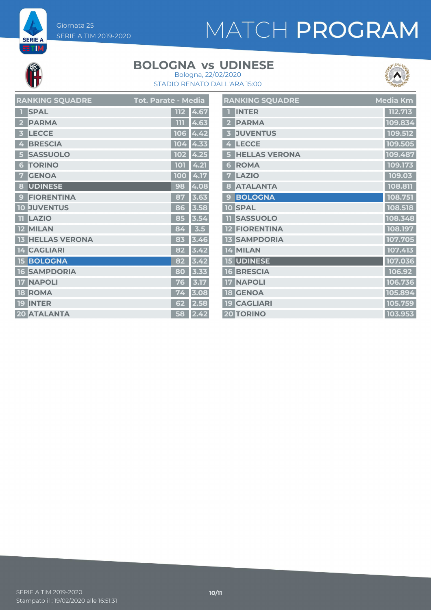# MATCH PROGRAM



**SERIE A ETM** 

#### **BOLOGNA vs UDINESE**



STADIO RENATO DALL'ARA 15:00 Bologna, 22/02/2020

| <b>RANKING SQUADRE</b> | Tot. Parate - Media |
|------------------------|---------------------|
| <b>SPAL</b>            | 4.67<br>112         |
| <b>PARMA</b>           | 4.63<br>m           |
| <b>LECCE</b>           | <b>106</b><br>4.42  |
| <b>BRESCIA</b>         | 104                 |
| 4                      | 4.33                |
| <b>SASSUOLO</b>        | 4.25<br>102         |
| <b>TORINO</b>          | 4.21                |
| 6                      | 101                 |
| <b>GENOA</b>           | 4.17                |
| 7.                     | 100                 |
| <b>UDINESE</b>         | 4.08                |
| 8                      | 98                  |
| <b>FIORENTINA</b>      | 87                  |
| $\mathbf{C}$           | 3.63                |
| <b>JUVENTUS</b>        | 3.58                |
| 10                     | 86                  |
| <b>LAZIO</b>           | 85                  |
| n.                     | 3.54                |
| <b>MILAN</b>           | 3.5                 |
| 12                     | 84                  |
| <b>HELLAS VERONA</b>   | 3.46<br>83          |
| <b>CAGLIARI</b>        | 82                  |
| 4                      | 3.42                |
| <b>BOLOGNA</b>         | 3.42<br>82          |
| <b>SAMPDORIA</b>       | 3.33                |
| 16                     | 80                  |
| <b>NAPOLI</b>          | 3.17<br>76          |
| <b>ROMA</b>            | 3.08                |
| 18                     | 74                  |
| <b>INTER</b>           | 2.58                |
| 19                     | 62                  |
| <b>20 ATALANTA</b>     | 2.42<br>58          |

|                         | <b>RANKING SQUADRE</b> | Media Km |
|-------------------------|------------------------|----------|
| П                       | <b>INTER</b>           | 112.713  |
| $\overline{2}$          | <b>PARMA</b>           | 109.834  |
| $\overline{\mathbf{3}}$ | <b>JUVENTUS</b>        | 109.512  |
| 4                       | <b>LECCE</b>           | 109.505  |
| 5                       | <b>HELLAS VERONA</b>   | 109.487  |
| 6                       | <b>ROMA</b>            | 109.173  |
| 7                       | <b>LAZIO</b>           | 109.03   |
| 8                       | <b>ATALANTA</b>        | 108.811  |
| 9                       | <b>BOLOGNA</b>         | 108.751  |
|                         | <b>10 SPAL</b>         | 108.518  |
| n                       | <b>SASSUOLO</b>        | 108.348  |
|                         | <b>12 FIORENTINA</b>   | 108.197  |
|                         | <b>13 SAMPDORIA</b>    | 107.705  |
|                         | 14 MILAN               | 107.413  |
|                         | <b>15 UDINESE</b>      | 107.036  |
|                         | <b>16 BRESCIA</b>      | 106.92   |
|                         | <b>17 NAPOLI</b>       | 106.736  |
|                         | <b>18 GENOA</b>        | 105.894  |
|                         | <b>19 CAGLIARI</b>     | 105.759  |
|                         | <b>20 TORINO</b>       | 103.953  |